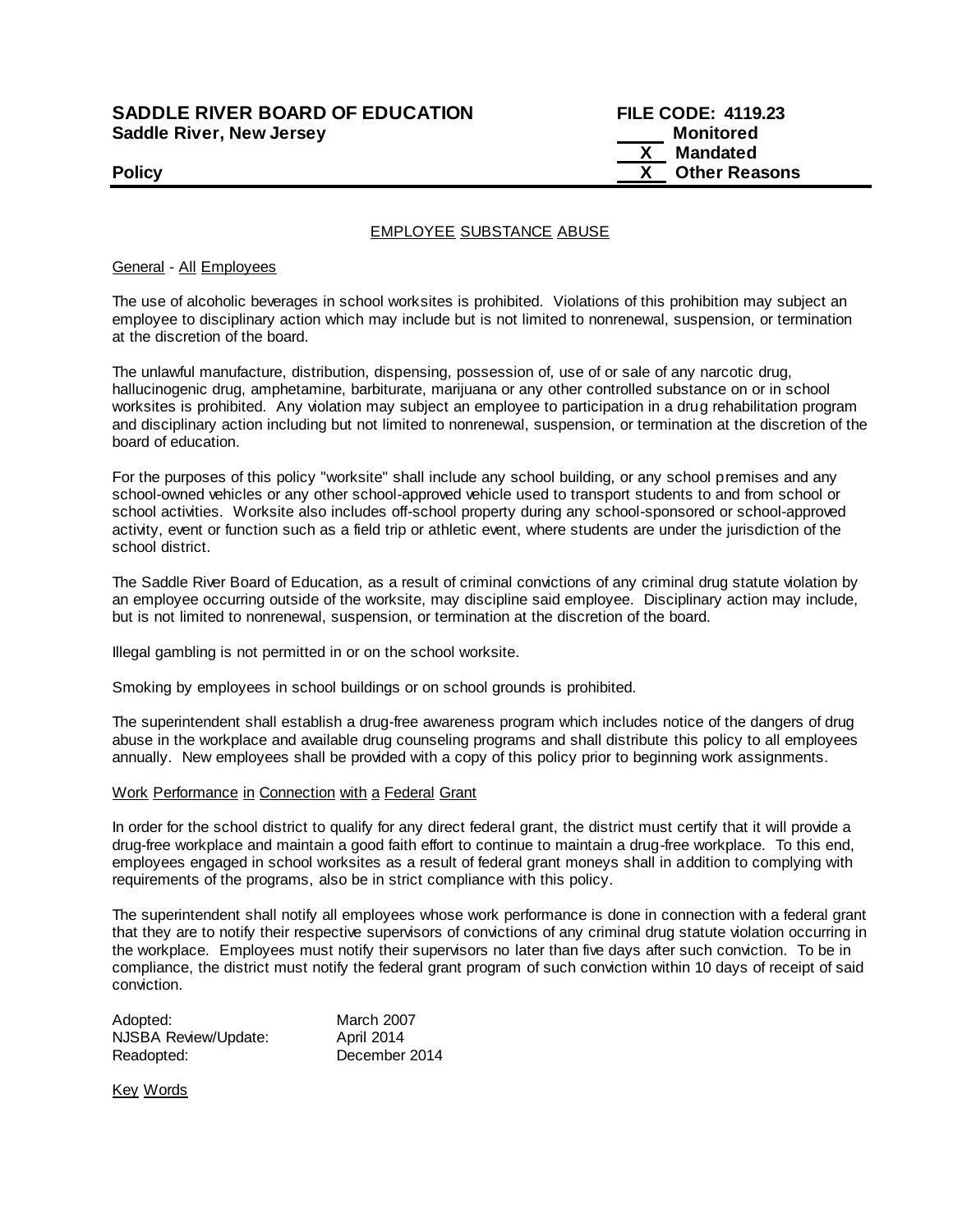# **SADDLE RIVER BOARD OF EDUCATION Saddle River, New Jersey**

| <b>SADDLE RIVER BOARD OF EDUCATION</b> | <b>FILE CODE: 4119.23</b> |
|----------------------------------------|---------------------------|
| Saddle River, New Jersey               | Monitored                 |
|                                        | Mandated                  |
| <b>Policy</b>                          | <b>Other Reasons</b>      |

## EMPLOYEE SUBSTANCE ABUSE

### General - All Employees

The use of alcoholic beverages in school worksites is prohibited. Violations of this prohibition may subject an employee to disciplinary action which may include but is not limited to nonrenewal, suspension, or termination at the discretion of the board.

The unlawful manufacture, distribution, dispensing, possession of, use of or sale of any narcotic drug, hallucinogenic drug, amphetamine, barbiturate, marijuana or any other controlled substance on or in school worksites is prohibited. Any violation may subject an employee to participation in a drug rehabilitation program and disciplinary action including but not limited to nonrenewal, suspension, or termination at the discretion of the board of education.

For the purposes of this policy "worksite" shall include any school building, or any school premises and any school-owned vehicles or any other school-approved vehicle used to transport students to and from school or school activities. Worksite also includes off-school property during any school-sponsored or school-approved activity, event or function such as a field trip or athletic event, where students are under the jurisdiction of the school district.

The Saddle River Board of Education, as a result of criminal convictions of any criminal drug statute violation by an employee occurring outside of the worksite, may discipline said employee. Disciplinary action may include, but is not limited to nonrenewal, suspension, or termination at the discretion of the board.

Illegal gambling is not permitted in or on the school worksite.

Smoking by employees in school buildings or on school grounds is prohibited.

The superintendent shall establish a drug-free awareness program which includes notice of the dangers of drug abuse in the workplace and available drug counseling programs and shall distribute this policy to all employees annually. New employees shall be provided with a copy of this policy prior to beginning work assignments.

## Work Performance in Connection with a Federal Grant

In order for the school district to qualify for any direct federal grant, the district must certify that it will provide a drug-free workplace and maintain a good faith effort to continue to maintain a drug-free workplace. To this end, employees engaged in school worksites as a result of federal grant moneys shall in addition to complying with requirements of the programs, also be in strict compliance with this policy.

The superintendent shall notify all employees whose work performance is done in connection with a federal grant that they are to notify their respective supervisors of convictions of any criminal drug statute violation occurring in the workplace. Employees must notify their supervisors no later than five days after such conviction. To be in compliance, the district must notify the federal grant program of such conviction within 10 days of receipt of said conviction.

| Adopted:             | <b>March 2007</b> |
|----------------------|-------------------|
| NJSBA Review/Update: | April 2014        |
| Readopted:           | December 2014     |

Key Words